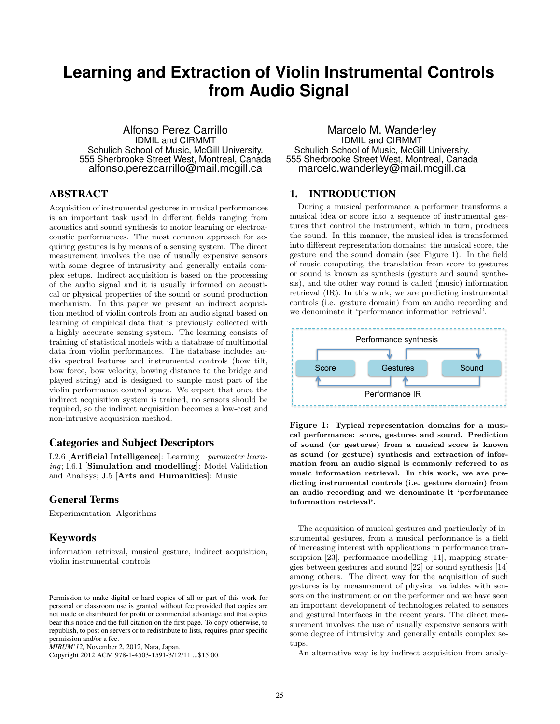# **Learning and Extraction of Violin Instrumental Controls from Audio Signal**

Alfonso Perez Carrillo IDMIL and CIRMMT Schulich School of Music, McGill University. 555 Sherbrooke Street West, Montreal, Canada alfonso.perezcarrillo@mail.mcgill.ca

# ABSTRACT

Acquisition of instrumental gestures in musical performances is an important task used in different fields ranging from acoustics and sound synthesis to motor learning or electroacoustic performances. The most common approach for acquiring gestures is by means of a sensing system. The direct measurement involves the use of usually expensive sensors with some degree of intrusivity and generally entails complex setups. Indirect acquisition is based on the processing of the audio signal and it is usually informed on acoustical or physical properties of the sound or sound production mechanism. In this paper we present an indirect acquisition method of violin controls from an audio signal based on learning of empirical data that is previously collected with a highly accurate sensing system. The learning consists of training of statistical models with a database of multimodal data from violin performances. The database includes audio spectral features and instrumental controls (bow tilt, bow force, bow velocity, bowing distance to the bridge and played string) and is designed to sample most part of the violin performance control space. We expect that once the indirect acquisition system is trained, no sensors should be required, so the indirect acquisition becomes a low-cost and non-intrusive acquisition method.

# Categories and Subject Descriptors

I.2.6 [Artificial Intelligence]: Learning—parameter learning; I.6.1 [Simulation and modelling]: Model Validation and Analisys; J.5 [Arts and Humanities]: Music

## General Terms

Experimentation, Algorithms

## Keywords

information retrieval, musical gesture, indirect acquisition, violin instrumental controls

Copyright 2012 ACM 978-1-4503-1591-3/12/11 ...\$15.00.

Marcelo M. Wanderley IDMIL and CIRMMT Schulich School of Music, McGill University. 555 Sherbrooke Street West, Montreal, Canada marcelo.wanderley@mail.mcgill.ca

## 1. INTRODUCTION

During a musical performance a performer transforms a musical idea or score into a sequence of instrumental gestures that control the instrument, which in turn, produces the sound. In this manner, the musical idea is transformed into different representation domains: the musical score, the gesture and the sound domain (see Figure 1). In the field of music computing, the translation from score to gestures or sound is known as synthesis (gesture and sound synthesis), and the other way round is called (music) information retrieval (IR). In this work, we are predicting instrumental controls (i.e. gesture domain) from an audio recording and we denominate it 'performance information retrieval'.



Figure 1: Typical representation domains for a musical performance: score, gestures and sound. Prediction of sound (or gestures) from a musical score is known as sound (or gesture) synthesis and extraction of information from an audio signal is commonly referred to as music information retrieval. In this work, we are predicting instrumental controls (i.e. gesture domain) from an audio recording and we denominate it 'performance information retrieval'.

The acquisition of musical gestures and particularly of instrumental gestures, from a musical performance is a field of increasing interest with applications in performance transcription [23], performance modelling [11], mapping strategies between gestures and sound [22] or sound synthesis [14] among others. The direct way for the acquisition of such gestures is by measurement of physical variables with sensors on the instrument or on the performer and we have seen an important development of technologies related to sensors and gestural interfaces in the recent years. The direct measurement involves the use of usually expensive sensors with some degree of intrusivity and generally entails complex setups.

An alternative way is by indirect acquisition from analy-

Permission to make digital or hard copies of all or part of this work for personal or classroom use is granted without fee provided that copies are not made or distributed for profit or commercial advantage and that copies bear this notice and the full citation on the first page. To copy otherwise, to republish, to post on servers or to redistribute to lists, requires prior specific permission and/or a fee.

*MIRUM'12,* November 2, 2012, Nara, Japan.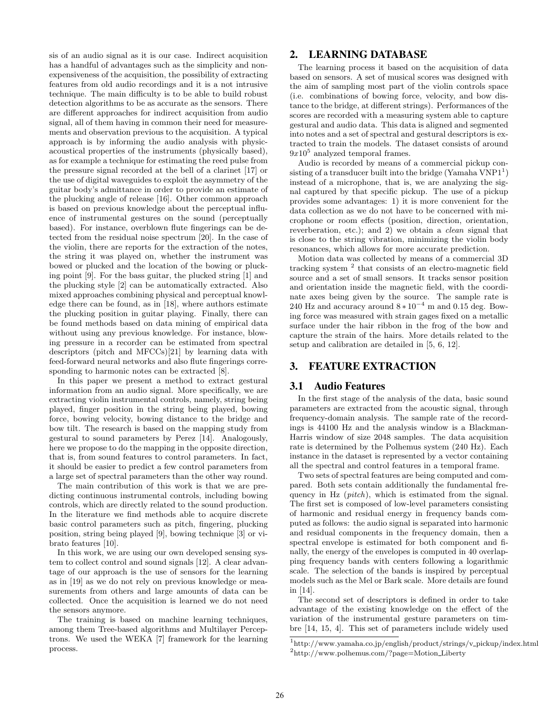sis of an audio signal as it is our case. Indirect acquisition has a handful of advantages such as the simplicity and nonexpensiveness of the acquisition, the possibility of extracting features from old audio recordings and it is a not intrusive technique. The main difficulty is to be able to build robust detection algorithms to be as accurate as the sensors. There are different approaches for indirect acquisition from audio signal, all of them having in common their need for measurements and observation previous to the acquisition. A typical approach is by informing the audio analysis with physicacoustical properties of the instruments (physically based), as for example a technique for estimating the reed pulse from the pressure signal recorded at the bell of a clarinet [17] or the use of digital waveguides to exploit the asymmetry of the guitar body's admittance in order to provide an estimate of the plucking angle of release [16]. Other common approach is based on previous knowledge about the perceptual influence of instrumental gestures on the sound (perceptually based). For instance, overblown flute fingerings can be detected from the residual noise spectrum [20]. In the case of the violin, there are reports for the extraction of the notes, the string it was played on, whether the instrument was bowed or plucked and the location of the bowing or plucking point [9]. For the bass guitar, the plucked string [1] and the plucking style [2] can be automatically extracted. Also mixed approaches combining physical and perceptual knowledge there can be found, as in [18], where authors estimate the plucking position in guitar playing. Finally, there can be found methods based on data mining of empirical data without using any previous knowledge. For instance, blowing pressure in a recorder can be estimated from spectral descriptors (pitch and MFCCs)[21] by learning data with feed-forward neural networks and also flute fingerings corresponding to harmonic notes can be extracted [8].

In this paper we present a method to extract gestural information from an audio signal. More specifically, we are extracting violin instrumental controls, namely, string being played, finger position in the string being played, bowing force, bowing velocity, bowing distance to the bridge and bow tilt. The research is based on the mapping study from gestural to sound parameters by Perez [14]. Analogously, here we propose to do the mapping in the opposite direction, that is, from sound features to control parameters. In fact, it should be easier to predict a few control parameters from a large set of spectral parameters than the other way round.

The main contribution of this work is that we are predicting continuous instrumental controls, including bowing controls, which are directly related to the sound production. In the literature we find methods able to acquire discrete basic control parameters such as pitch, fingering, plucking position, string being played [9], bowing technique [3] or vibrato features [10].

In this work, we are using our own developed sensing system to collect control and sound signals [12]. A clear advantage of our approach is the use of sensors for the learning as in [19] as we do not rely on previous knowledge or measurements from others and large amounts of data can be collected. Once the acquisition is learned we do not need the sensors anymore.

The training is based on machine learning techniques, among them Tree-based algorithms and Multilayer Perceptrons. We used the WEKA [7] framework for the learning process.

## 2. LEARNING DATABASE

The learning process it based on the acquisition of data based on sensors. A set of musical scores was designed with the aim of sampling most part of the violin controls space (i.e. combinations of bowing force, velocity, and bow distance to the bridge, at different strings). Performances of the scores are recorded with a measuring system able to capture gestural and audio data. This data is aligned and segmented into notes and a set of spectral and gestural descriptors is extracted to train the models. The dataset consists of around  $9x10<sup>5</sup>$  analyzed temporal frames.

Audio is recorded by means of a commercial pickup consisting of a transducer built into the bridge  $(Yamaha VNP1<sup>1</sup>)$ instead of a microphone, that is, we are analyzing the signal captured by that specific pickup. The use of a pickup provides some advantages: 1) it is more convenient for the data collection as we do not have to be concerned with microphone or room effects (position, direction, orientation, reverberation, etc.); and 2) we obtain a clean signal that is close to the string vibration, minimizing the violin body resonances, which allows for more accurate prediction.

Motion data was collected by means of a commercial 3D tracking system<sup>2</sup> that consists of an electro-magnetic field source and a set of small sensors. It tracks sensor position and orientation inside the magnetic field, with the coordinate axes being given by the source. The sample rate is 240 Hz and accuracy around  $8 \times 10^{-4}$  m and 0.15 deg. Bowing force was measured with strain gages fixed on a metallic surface under the hair ribbon in the frog of the bow and capture the strain of the hairs. More details related to the setup and calibration are detailed in [5, 6, 12].

## 3. FEATURE EXTRACTION

#### 3.1 Audio Features

In the first stage of the analysis of the data, basic sound parameters are extracted from the acoustic signal, through frequency-domain analysis. The sample rate of the recordings is 44100 Hz and the analysis window is a Blackman-Harris window of size 2048 samples. The data acquisition rate is determined by the Polhemus system (240 Hz). Each instance in the dataset is represented by a vector containing all the spectral and control features in a temporal frame.

Two sets of spectral features are being computed and compared. Both sets contain additionally the fundamental frequency in Hz (*pitch*), which is estimated from the signal. The first set is composed of low-level parameters consisting of harmonic and residual energy in frequency bands computed as follows: the audio signal is separated into harmonic and residual components in the frequency domain, then a spectral envelope is estimated for both component and finally, the energy of the envelopes is computed in 40 overlapping frequency bands with centers following a logarithmic scale. The selection of the bands is inspired by perceptual models such as the Mel or Bark scale. More details are found in [14].

The second set of descriptors is defined in order to take advantage of the existing knowledge on the effect of the variation of the instrumental gesture parameters on timbre [14, 15, 4]. This set of parameters include widely used

<sup>&</sup>lt;sup>1</sup>http://www.yamaha.co.jp/english/product/strings/v\_pickup/index.html 2 http://www.polhemus.com/?page=Motion Liberty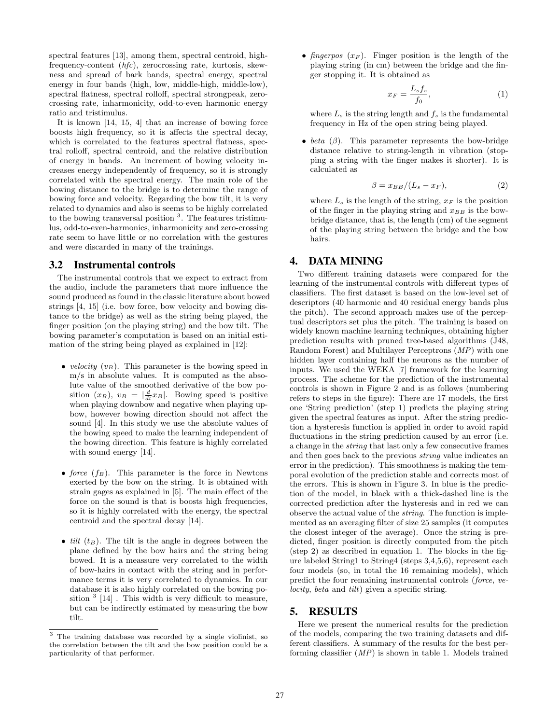spectral features [13], among them, spectral centroid, highfrequency-content (hfc), zerocrossing rate, kurtosis, skewness and spread of bark bands, spectral energy, spectral energy in four bands (high, low, middle-high, middle-low), spectral flatness, spectral rolloff, spectral strongpeak, zerocrossing rate, inharmonicity, odd-to-even harmonic energy ratio and tristimulus.

It is known [14, 15, 4] that an increase of bowing force boosts high frequency, so it is affects the spectral decay, which is correlated to the features spectral flatness, spectral rolloff, spectral centroid, and the relative distribution of energy in bands. An increment of bowing velocity increases energy independently of frequency, so it is strongly correlated with the spectral energy. The main role of the bowing distance to the bridge is to determine the range of bowing force and velocity. Regarding the bow tilt, it is very related to dynamics and also is seems to be highly correlated to the bowing transversal position<sup>3</sup>. The features tristimulus, odd-to-even-harmonics, inharmonicity and zero-crossing rate seem to have little or no correlation with the gestures and were discarded in many of the trainings.

#### 3.2 Instrumental controls

The instrumental controls that we expect to extract from the audio, include the parameters that more influence the sound produced as found in the classic literature about bowed strings [4, 15] (i.e. bow force, bow velocity and bowing distance to the bridge) as well as the string being played, the finger position (on the playing string) and the bow tilt. The bowing parameter's computation is based on an initial estimation of the string being played as explained in [12]:

- velocity  $(v_B)$ . This parameter is the bowing speed in m/s in absolute values. It is computed as the absolute value of the smoothed derivative of the bow position  $(x_B)$ ,  $v_B = \frac{d}{dt} x_B$ . Bowing speed is positive when playing downbow and negative when playing upbow, however bowing direction should not affect the sound [4]. In this study we use the absolute values of the bowing speed to make the learning independent of the bowing direction. This feature is highly correlated with sound energy [14].
- force  $(f_B)$ . This parameter is the force in Newtons exerted by the bow on the string. It is obtained with strain gages as explained in [5]. The main effect of the force on the sound is that is boosts high frequencies, so it is highly correlated with the energy, the spectral centroid and the spectral decay [14].
- $tilt (t_B)$ . The tilt is the angle in degrees between the plane defined by the bow hairs and the string being bowed. It is a meassure very correlated to the width of bow-hairs in contact with the string and in performance terms it is very correlated to dynamics. In our database it is also highly correlated on the bowing position  $3$  [14]. This width is very difficult to measure, but can be indirectly estimated by measuring the bow tilt.

• fingerpos  $(x_F)$ . Finger position is the length of the playing string (in cm) between the bridge and the finger stopping it. It is obtained as

$$
x_F = \frac{L_s f_s}{f_0},\tag{1}
$$

where  $L_s$  is the string length and  $f_s$  is the fundamental frequency in Hz of the open string being played.

• beta  $(\beta)$ . This parameter represents the bow-bridge distance relative to string-length in vibration (stopping a string with the finger makes it shorter). It is calculated as

$$
\beta = x_{BB}/(L_s - x_F),\tag{2}
$$

where  $L_s$  is the length of the string,  $x_F$  is the position of the finger in the playing string and  $x_{BB}$  is the bowbridge distance, that is, the length (cm) of the segment of the playing string between the bridge and the bow hairs.

# 4. DATA MINING

Two different training datasets were compared for the learning of the instrumental controls with different types of classifiers. The first dataset is based on the low-level set of descriptors (40 harmonic and 40 residual energy bands plus the pitch). The second approach makes use of the perceptual descriptors set plus the pitch. The training is based on widely known machine learning techniques, obtaining higher prediction results with pruned tree-based algorithms (J48, Random Forest) and Multilayer Perceptrons (MP) with one hidden layer containing half the neurons as the number of inputs. We used the WEKA [7] framework for the learning process. The scheme for the prediction of the instrumental controls is shown in Figure 2 and is as follows (numbering refers to steps in the figure): There are 17 models, the first one 'String prediction' (step 1) predicts the playing string given the spectral features as input. After the string prediction a hysteresis function is applied in order to avoid rapid fluctuations in the string prediction caused by an error (i.e. a change in the string that last only a few consecutive frames and then goes back to the previous string value indicates an error in the prediction). This smoothness is making the temporal evolution of the prediction stable and corrects most of the errors. This is shown in Figure 3. In blue is the prediction of the model, in black with a thick-dashed line is the corrected prediction after the hysteresis and in red we can observe the actual value of the string. The function is implemented as an averaging filter of size 25 samples (it computes the closest integer of the average). Once the string is predicted, finger position is directly computed from the pitch (step 2) as described in equation 1. The blocks in the figure labeled String1 to String4 (steps 3,4,5,6), represent each four models (so, in total the 16 remaining models), which predict the four remaining instrumental controls (force, velocity, beta and tilt) given a specific string.

#### 5. RESULTS

Here we present the numerical results for the prediction of the models, comparing the two training datasets and different classifiers. A summary of the results for the best performing classifier  $(MP)$  is shown in table 1. Models trained

<sup>3</sup> The training database was recorded by a single violinist, so the correlation between the tilt and the bow position could be a particularity of that performer.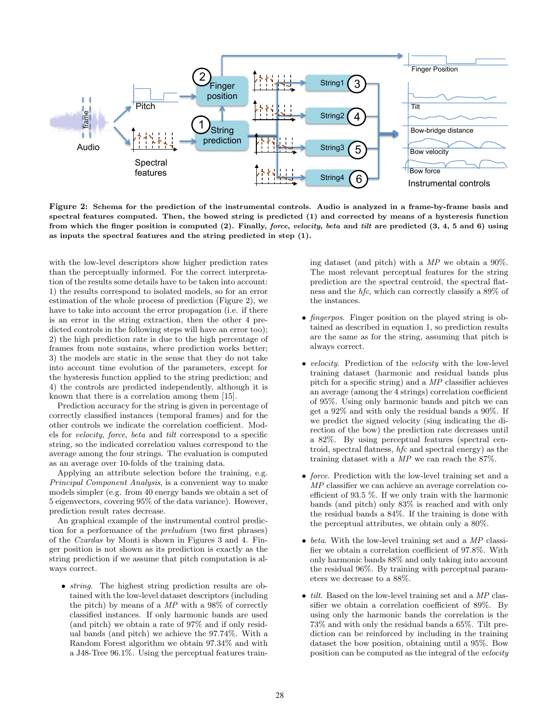

Figure 2: Schema for the prediction of the instrumental controls. Audio is analyzed in a frame-by-frame basis and spectral features computed. Then, the bowed string is predicted (1) and corrected by means of a hysteresis function from which the finger position is computed (2). Finally, force, velocity, beta and tilt are predicted (3, 4, 5 and 6) using as inputs the spectral features and the string predicted in step (1).

with the low-level descriptors show higher prediction rates than the perceptually informed. For the correct interpretation of the results some details have to be taken into account: 1) the results correspond to isolated models, so for an error estimation of the whole process of prediction (Figure 2), we have to take into account the error propagation (i.e. if there is an error in the string extraction, then the other 4 predicted controls in the following steps will have an error too); 2) the high prediction rate is due to the high percentage of frames from note sustains, where prediction works better; 3) the models are static in the sense that they do not take into account time evolution of the parameters, except for the hysteresis function applied to the string prediction; and 4) the controls are predicted independently, although it is known that there is a correlation among them [15].

Prediction accuracy for the string is given in percentage of correctly classified instances (temporal frames) and for the other controls we indicate the correlation coefficient. Models for velocity, force, beta and tilt correspond to a specific string, so the indicated correlation values correspond to the average among the four strings. The evaluation is computed as an average over 10-folds of the training data.

Applying an attribute selection before the training, e.g. Principal Component Analysis, is a convenient way to make models simpler (e.g. from 40 energy bands we obtain a set of 5 eigenvectors, covering 95% of the data variance). However, prediction result rates decrease.

An graphical example of the instrumental control prediction for a performance of the preludium (two first phrases) of the Czardas by Monti is shown in Figures 3 and 4. Finger position is not shown as its prediction is exactly as the string prediction if we assume that pitch computation is always correct.

• *string*. The highest string prediction results are obtained with the low-level dataset descriptors (including the pitch) by means of a MP with a 98% of correctly classified instances. If only harmonic bands are used (and pitch) we obtain a rate of 97% and if only residual bands (and pitch) we achieve the 97.74%. With a Random Forest algorithm we obtain 97.34% and with a J48-Tree 96.1%. Using the perceptual features training dataset (and pitch) with a  $MP$  we obtain a 90%. The most relevant perceptual features for the string prediction are the spectral centroid, the spectral flatness and the hfc, which can correctly classify a 89% of the instances.

- *fingerpos*. Finger position on the played string is obtained as described in equation 1, so prediction results are the same as for the string, assuming that pitch is always correct.
- *velocity*. Prediction of the *velocity* with the low-level training dataset (harmonic and residual bands plus pitch for a specific string) and a MP classifier achieves an average (among the 4 strings) correlation coefficient of 95%. Using only harmonic bands and pitch we can get a 92% and with only the residual bands a 90%. If we predict the signed velocity (sing indicating the direction of the bow) the prediction rate decreases until a 82%. By using perceptual features (spectral centroid, spectral flatness, hfc and spectral energy) as the training dataset with a MP we can reach the 87%.
- force. Prediction with the low-level training set and a MP classifier we can achieve an average correlation coefficient of 93.5 %. If we only train with the harmonic bands (and pitch) only 83% is reached and with only the residual bands a 84%. If the training is done with the perceptual attributes, we obtain only a 80%.
- beta. With the low-level training set and a  $MP$  classifier we obtain a correlation coefficient of 97.8%. With only harmonic bands 88% and only taking into account the residual 96%. By training with perceptual parameters we decrease to a 88%.
- $\bullet$  *tilt.* Based on the low-level training set and a MP classifier we obtain a correlation coefficient of 89%. By using only the harmonic bands the correlation is the 73% and with only the residual bands a 65%. Tilt prediction can be reinforced by including in the training dataset the bow position, obtaining until a 95%. Bow position can be computed as the integral of the velocity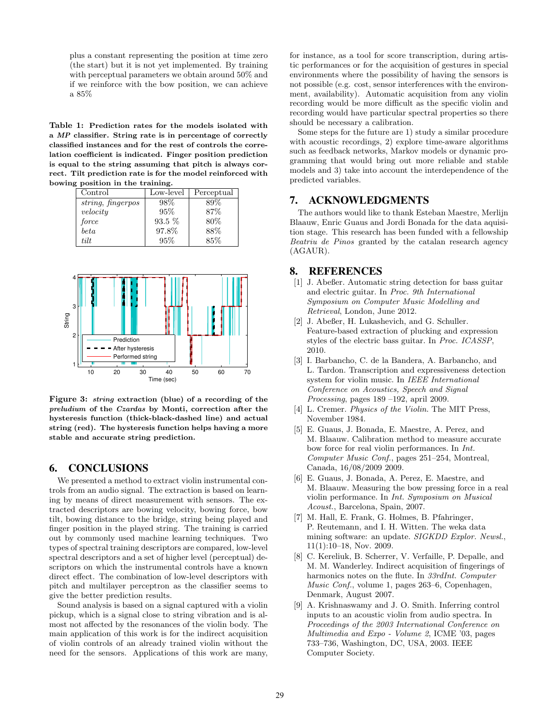plus a constant representing the position at time zero (the start) but it is not yet implemented. By training with perceptual parameters we obtain around 50% and if we reinforce with the bow position, we can achieve a 85%

Table 1: Prediction rates for the models isolated with a MP classifier. String rate is in percentage of correctly classified instances and for the rest of controls the correlation coefficient is indicated. Finger position prediction is equal to the string assuming that pitch is always correct. Tilt prediction rate is for the model reinforced with bowing position in the training.

| Control           | Low-level | Perceptual |
|-------------------|-----------|------------|
| string, fingerpos | 98\%      | 89%        |
| velocity          | 95%       | 87\%       |
| force             | $93.5\%$  | 80\%       |
| beta              | 97.8%     | 88%        |
| tilt              | 95%       | 85%        |



Figure 3: string extraction (blue) of a recording of the preludium of the Czardas by Monti, correction after the hysteresis function (thick-black-dashed line) and actual string (red). The hysteresis function helps having a more stable and accurate string prediction.

## 6. CONCLUSIONS

We presented a method to extract violin instrumental controls from an audio signal. The extraction is based on learning by means of direct measurement with sensors. The extracted descriptors are bowing velocity, bowing force, bow tilt, bowing distance to the bridge, string being played and finger position in the played string. The training is carried out by commonly used machine learning techniques. Two types of spectral training descriptors are compared, low-level spectral descriptors and a set of higher level (perceptual) descriptors on which the instrumental controls have a known direct effect. The combination of low-level descriptors with pitch and multilayer perceptron as the classifier seems to give the better prediction results.

Sound analysis is based on a signal captured with a violin pickup, which is a signal close to string vibration and is almost not affected by the resonances of the violin body. The main application of this work is for the indirect acquisition of violin controls of an already trained violin without the need for the sensors. Applications of this work are many,

for instance, as a tool for score transcription, during artistic performances or for the acquisition of gestures in special environments where the possibility of having the sensors is not possible (e.g. cost, sensor interferences with the environment, availability). Automatic acquisition from any violin recording would be more difficult as the specific violin and recording would have particular spectral properties so there should be necessary a calibration.

Some steps for the future are 1) study a similar procedure with acoustic recordings, 2) explore time-aware algorithms such as feedback networks, Markov models or dynamic programming that would bring out more reliable and stable models and 3) take into account the interdependence of the predicted variables.

#### 7. ACKNOWLEDGMENTS

The authors would like to thank Esteban Maestre, Merlijn Blaauw, Enric Guaus and Jordi Bonada for the data aquisition stage. This research has been funded with a fellowship Beatriu de Pinos granted by the catalan research agency (AGAUR).

## 8. REFERENCES

- [1] J. Abeßer. Automatic string detection for bass guitar and electric guitar. In Proc. 9th International Symposium on Computer Music Modelling and Retrieval, London, June 2012.
- [2] J. Abeßer, H. Lukashevich, and G. Schuller. Feature-based extraction of plucking and expression styles of the electric bass guitar. In Proc. ICASSP, 2010.
- [3] I. Barbancho, C. de la Bandera, A. Barbancho, and L. Tardon. Transcription and expressiveness detection system for violin music. In IEEE International Conference on Acoustics, Speech and Signal Processing, pages 189 –192, april 2009.
- [4] L. Cremer. *Physics of the Violin*. The MIT Press, November 1984.
- [5] E. Guaus, J. Bonada, E. Maestre, A. Perez, and M. Blaauw. Calibration method to measure accurate bow force for real violin performances. In Int. Computer Music Conf., pages 251–254, Montreal, Canada, 16/08/2009 2009.
- [6] E. Guaus, J. Bonada, A. Perez, E. Maestre, and M. Blaauw. Measuring the bow pressing force in a real violin performance. In Int. Symposium on Musical Acoust., Barcelona, Spain, 2007.
- [7] M. Hall, E. Frank, G. Holmes, B. Pfahringer, P. Reutemann, and I. H. Witten. The weka data mining software: an update. SIGKDD Explor. Newsl., 11(1):10–18, Nov. 2009.
- [8] C. Kereliuk, B. Scherrer, V. Verfaille, P. Depalle, and M. M. Wanderley. Indirect acquisition of fingerings of harmonics notes on the flute. In 33rdInt. Computer Music Conf., volume 1, pages 263–6, Copenhagen, Denmark, August 2007.
- [9] A. Krishnaswamy and J. O. Smith. Inferring control inputs to an acoustic violin from audio spectra. In Proceedings of the 2003 International Conference on Multimedia and Expo - Volume 2, ICME '03, pages 733–736, Washington, DC, USA, 2003. IEEE Computer Society.